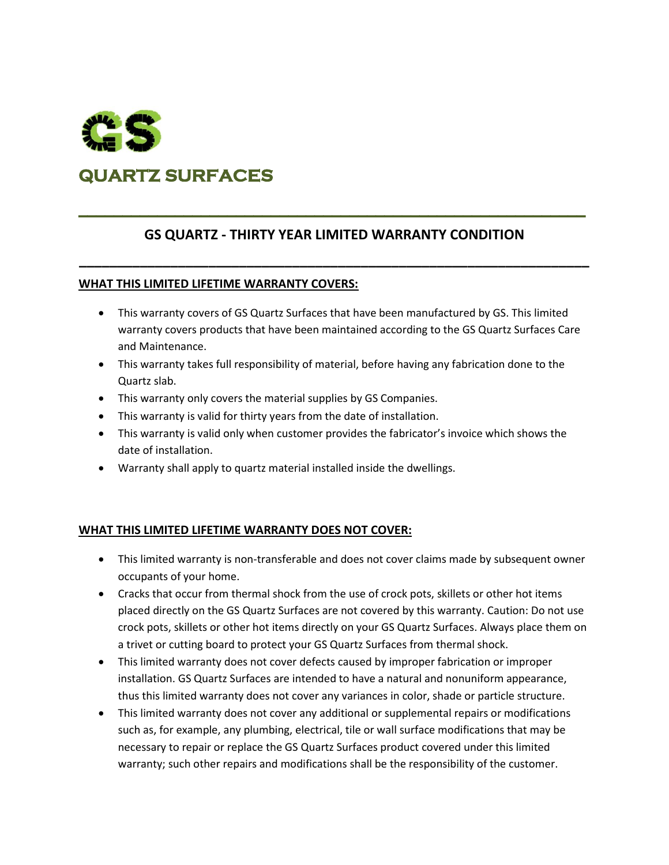

# **QUARTZ SURFACES**

# **GS QUARTZ - THIRTY YEAR LIMITED WARRANTY CONDITION**

**\_\_\_\_\_\_\_\_\_\_\_\_\_\_\_\_\_\_\_\_\_\_\_\_\_\_\_\_\_\_\_\_\_\_\_\_\_\_\_\_\_\_\_\_\_\_\_\_\_\_\_\_\_\_\_\_\_\_\_\_\_\_\_\_\_\_\_**

#### **WHAT THIS LIMITED LIFETIME WARRANTY COVERS:**

- This warranty covers of GS Quartz Surfaces that have been manufactured by GS. This limited warranty covers products that have been maintained according to the GS Quartz Surfaces Care and Maintenance.
- This warranty takes full responsibility of material, before having any fabrication done to the Quartz slab.
- This warranty only covers the material supplies by GS Companies.
- This warranty is valid for thirty years from the date of installation.
- This warranty is valid only when customer provides the fabricator's invoice which shows the date of installation.
- Warranty shall apply to quartz material installed inside the dwellings.

## **WHAT THIS LIMITED LIFETIME WARRANTY DOES NOT COVER:**

- This limited warranty is non-transferable and does not cover claims made by subsequent owner occupants of your home.
- Cracks that occur from thermal shock from the use of crock pots, skillets or other hot items placed directly on the GS Quartz Surfaces are not covered by this warranty. Caution: Do not use crock pots, skillets or other hot items directly on your GS Quartz Surfaces. Always place them on a trivet or cutting board to protect your GS Quartz Surfaces from thermal shock.
- This limited warranty does not cover defects caused by improper fabrication or improper installation. GS Quartz Surfaces are intended to have a natural and nonuniform appearance, thus this limited warranty does not cover any variances in color, shade or particle structure.
- This limited warranty does not cover any additional or supplemental repairs or modifications such as, for example, any plumbing, electrical, tile or wall surface modifications that may be necessary to repair or replace the GS Quartz Surfaces product covered under this limited warranty; such other repairs and modifications shall be the responsibility of the customer.